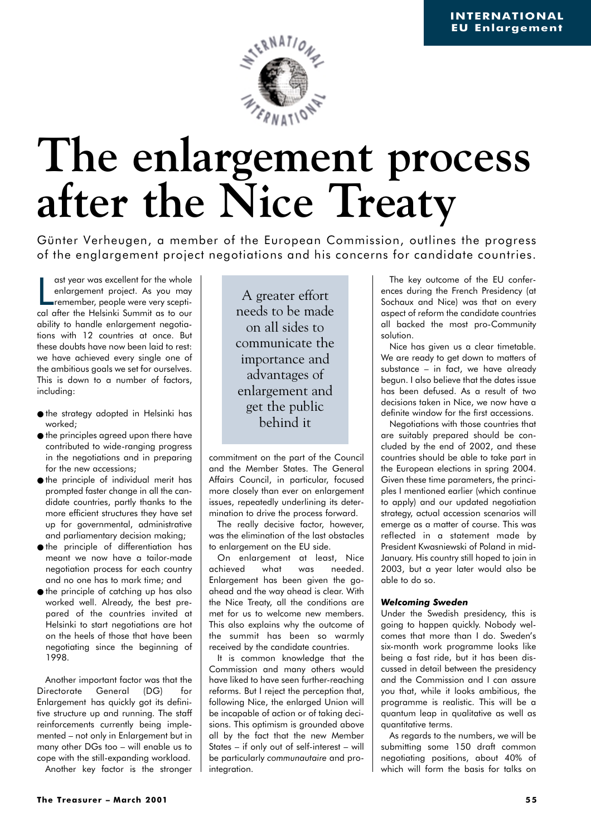

# **The enlargement process after the Nice Treaty**

Günter Verheugen, a member of the European Commission, outlines the progress of the englargement project negotiations and his concerns for candidate countries.

ast year was excellent for the whole<br>
enlargement project. As you may<br>
remember, people were very scepti-<br>
cal after the Helsinki Summit as to our ast year was excellent for the whole enlargement project. As you may remember, people were very sceptiability to handle enlargement negotiations with 12 countries at once. But these doubts have now been laid to rest: we have achieved every single one of the ambitious goals we set for ourselves. This is down to a number of factors, including:

- the strategy adopted in Helsinki has worked;
- the principles agreed upon there have contributed to wide-ranging progress in the negotiations and in preparing for the new accessions;
- the principle of individual merit has prompted faster change in all the candidate countries, partly thanks to the more efficient structures they have set up for governmental, administrative and parliamentary decision making;
- the principle of differentiation has meant we now have a tailor-made negotiation process for each country and no one has to mark time; and
- the principle of catching up has also worked well. Already, the best prepared of the countries invited at Helsinki to start negotiations are hot on the heels of those that have been negotiating since the beginning of 1998.

Another important factor was that the Directorate General (DG) for Enlargement has quickly got its definitive structure up and running. The staff reinforcements currently being implemented – not only in Enlargement but in many other DGs too – will enable us to cope with the still-expanding workload. Another key factor is the stronger

A greater effort needs to be made on all sides to communicate the importance and advantages of enlargement and get the public behind it

commitment on the part of the Council and the Member States. The General Affairs Council, in particular, focused more closely than ever on enlargement issues, repeatedly underlining its determination to drive the process forward.

The really decisive factor, however, was the elimination of the last obstacles to enlargement on the EU side.

On enlargement at least, Nice achieved what was needed. Enlargement has been given the goahead and the way ahead is clear. With the Nice Treaty, all the conditions are met for us to welcome new members. This also explains why the outcome of the summit has been so warmly received by the candidate countries.

It is common knowledge that the Commission and many others would have liked to have seen further-reaching reforms. But I reject the perception that, following Nice, the enlarged Union will be incapable of action or of taking decisions. This optimism is grounded above all by the fact that the new Member States – if only out of self-interest – will be particularly *communautaire* and prointegration.

The key outcome of the EU conferences during the French Presidency (at Sochaux and Nice) was that on every aspect of reform the candidate countries all backed the most pro-Community solution.

Nice has given us a clear timetable. We are ready to get down to matters of substance – in fact, we have already begun. I also believe that the dates issue has been defused. As a result of two decisions taken in Nice, we now have a definite window for the first accessions.

Negotiations with those countries that are suitably prepared should be concluded by the end of 2002, and these countries should be able to take part in the European elections in spring 2004. Given these time parameters, the principles I mentioned earlier (which continue to apply) and our updated negotiation strategy, actual accession scenarios will emerge as a matter of course. This was reflected in a statement made by President Kwasniewski of Poland in mid-January. His country still hoped to join in 2003, but a year later would also be able to do so.

## *Welcoming Sweden*

Under the Swedish presidency, this is going to happen quickly. Nobody welcomes that more than I do. Sweden's six-month work programme looks like being a fast ride, but it has been discussed in detail between the presidency and the Commission and I can assure you that, while it looks ambitious, the programme is realistic. This will be a quantum leap in qualitative as well as quantitative terms.

As regards to the numbers, we will be submitting some 150 draft common negotiating positions, about 40% of which will form the basis for talks on